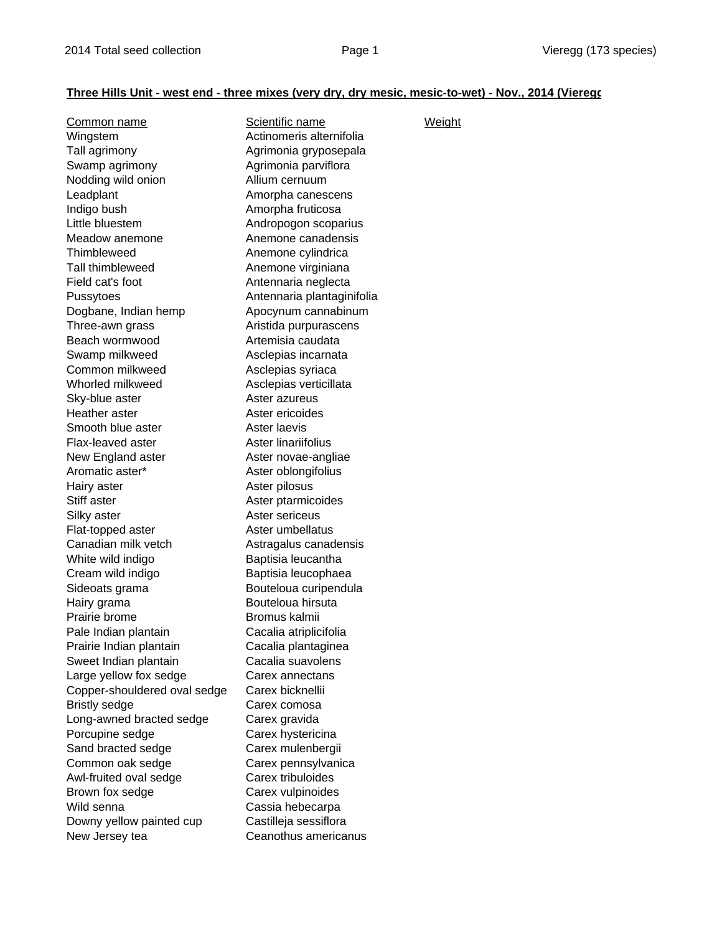## **Three Hills Unit - west end - three mixes (very dry, dry mesic, mesic-to-wet) - Nov., 2014 (Vieregg**

| Common name                  | Scientific name            | <b>Weight</b> |
|------------------------------|----------------------------|---------------|
| Wingstem                     | Actinomeris alternifolia   |               |
| Tall agrimony                | Agrimonia gryposepala      |               |
| Swamp agrimony               | Agrimonia parviflora       |               |
| Nodding wild onion           | Allium cernuum             |               |
| Leadplant                    | Amorpha canescens          |               |
| Indigo bush                  | Amorpha fruticosa          |               |
| Little bluestem              | Andropogon scoparius       |               |
| Meadow anemone               | Anemone canadensis         |               |
| Thimbleweed                  | Anemone cylindrica         |               |
| <b>Tall thimbleweed</b>      | Anemone virginiana         |               |
| Field cat's foot             | Antennaria neglecta        |               |
| Pussytoes                    | Antennaria plantaginifolia |               |
| Dogbane, Indian hemp         | Apocynum cannabinum        |               |
| Three-awn grass              | Aristida purpurascens      |               |
| Beach wormwood               | Artemisia caudata          |               |
| Swamp milkweed               | Asclepias incarnata        |               |
| Common milkweed              | Asclepias syriaca          |               |
| Whorled milkweed             | Asclepias verticillata     |               |
| Sky-blue aster               | Aster azureus              |               |
| Heather aster                | Aster ericoides            |               |
| Smooth blue aster            | Aster laevis               |               |
| Flax-leaved aster            | Aster linariifolius        |               |
| New England aster            | Aster novae-angliae        |               |
| Aromatic aster*              | Aster oblongifolius        |               |
| Hairy aster                  | Aster pilosus              |               |
| Stiff aster                  | Aster ptarmicoides         |               |
| Silky aster                  | Aster sericeus             |               |
| Flat-topped aster            | Aster umbellatus           |               |
| Canadian milk vetch          | Astragalus canadensis      |               |
| White wild indigo            | Baptisia leucantha         |               |
| Cream wild indigo            | Baptisia leucophaea        |               |
| Sideoats grama               | Bouteloua curipendula      |               |
| Hairy grama                  | Bouteloua hirsuta          |               |
| Prairie brome                | Bromus kalmii              |               |
| Pale Indian plantain         | Cacalia atriplicifolia     |               |
| Prairie Indian plantain      | Cacalia plantaginea        |               |
| Sweet Indian plantain        | Cacalia suavolens          |               |
| Large yellow fox sedge       | Carex annectans            |               |
| Copper-shouldered oval sedge | Carex bicknellii           |               |
| <b>Bristly sedge</b>         | Carex comosa               |               |
| Long-awned bracted sedge     | Carex gravida              |               |
| Porcupine sedge              | Carex hystericina          |               |
| Sand bracted sedge           | Carex mulenbergii          |               |
| Common oak sedge             | Carex pennsylvanica        |               |
| Awl-fruited oval sedge       | Carex tribuloides          |               |
| Brown fox sedge              | Carex vulpinoides          |               |
| Wild senna                   | Cassia hebecarpa           |               |
| Downy yellow painted cup     | Castilleja sessiflora      |               |
| New Jersey tea               | Ceanothus americanus       |               |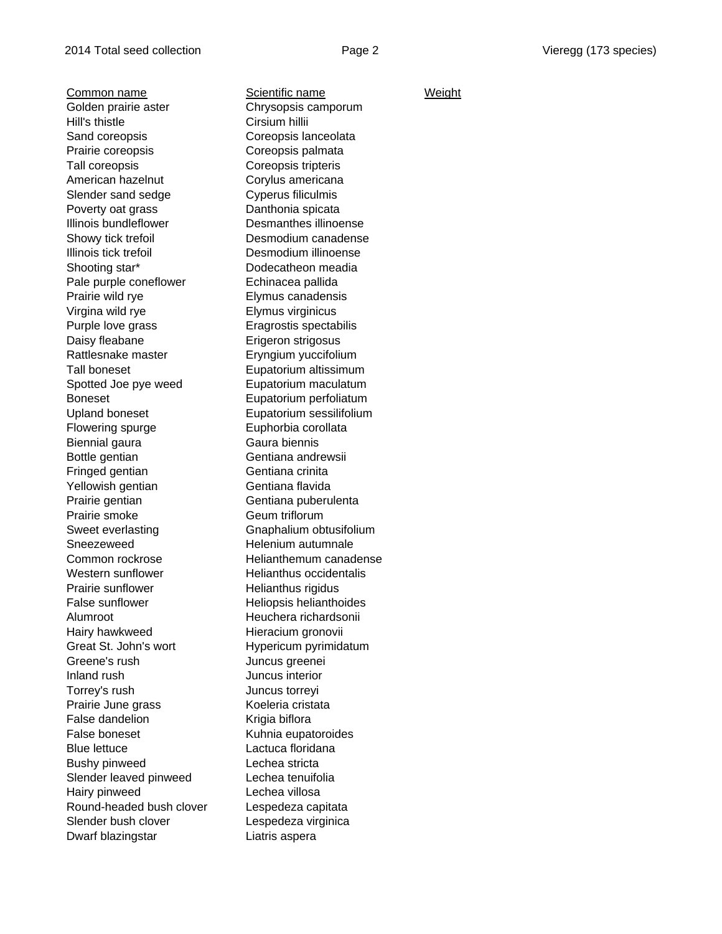Common name Scientific name Weight Golden prairie aster Chrysopsis camporum Hill's thistle Cirsium hillii Sand coreopsis **Coreopsis Coreopsis** lanceolata Prairie coreopsis **Coreopsis palmata** Tall coreopsis Coreopsis tripteris American hazelnut Corylus americana Slender sand sedge Cyperus filiculmis Poverty oat grass Danthonia spicata Illinois bundleflower Desmanthes illinoense Showy tick trefoil Desmodium canadense Illinois tick trefoil Desmodium illinoense Shooting star\* Dodecatheon meadia Pale purple coneflower Echinacea pallida Prairie wild rye **Elymus** canadensis Virgina wild rye Elymus virginicus Purple love grass Eragrostis spectabilis Daisy fleabane **Erigeron** strigosus Rattlesnake master Eryngium yuccifolium Tall boneset **Eupatorium** altissimum Spotted Joe pye weed Eupatorium maculatum Boneset Eupatorium perfoliatum Upland boneset Eupatorium sessilifolium Flowering spurge Euphorbia corollata Biennial gaura **Gaura** Gaura biennis Bottle gentian Gentiana andrewsii Fringed gentian Gentiana crinita Yellowish gentian Gentiana flavida Prairie gentian Gentiana puberulenta Prairie smoke Geum triflorum Sweet everlasting Gnaphalium obtusifolium Sneezeweed **Helenium** autumnale Common rockrose Helianthemum canadense Western sunflower **Helianthus occidentalis** Prairie sunflower Helianthus rigidus False sunflower Heliopsis helianthoides Alumroot Heuchera richardsonii Hairy hawkweed **Hieracium gronovii** Great St. John's wort **Hypericum pyrimidatum** Greene's rush Juncus greenei Inland rush Juncus interior Torrey's rush Juncus torreyi Prairie June grass Koeleria cristata False dandelion Krigia biflora False boneset **Kuhnia** eupatoroides Blue lettuce Lactuca floridana Bushy pinweed Lechea stricta Slender leaved pinweed Lechea tenuifolia Hairy pinweed Lechea villosa Round-headed bush clover Lespedeza capitata Slender bush clover **Lespedeza virginica** Dwarf blazingstar **Liatris** aspera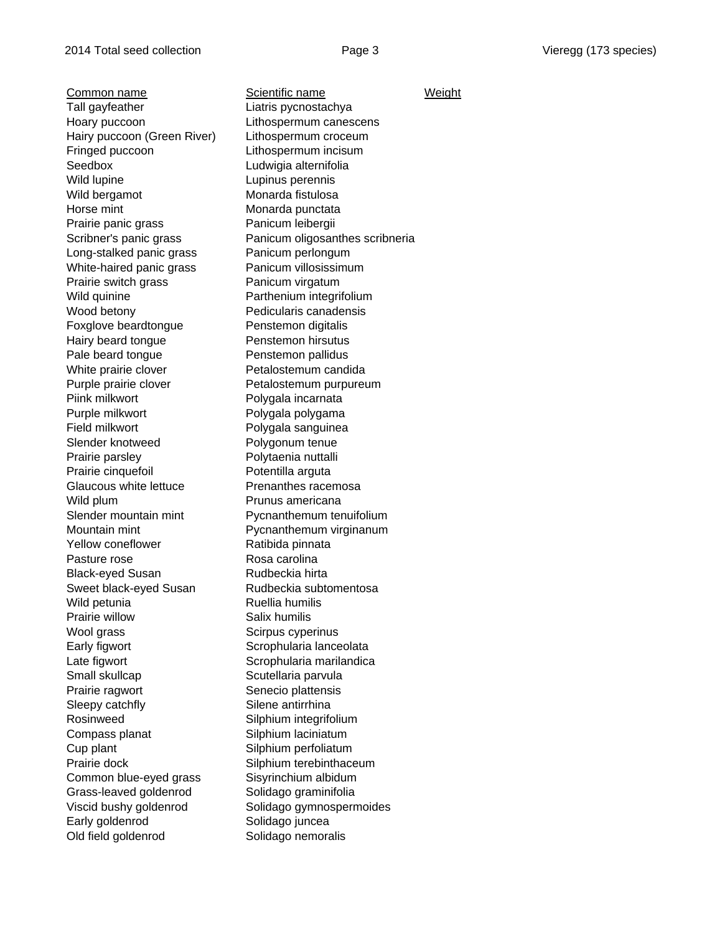Common name Scientific name Weight Tall gayfeather **Liatris** pycnostachya Hoary puccoon Lithospermum canescens Hairy puccoon (Green River) Lithospermum croceum Fringed puccoon Lithospermum incisum Seedbox Ludwigia alternifolia Wild lupine **Lupinus perennis** Wild bergamot Monarda fistulosa Horse mint **Monarda** punctata Prairie panic grass Panicum leibergii Long-stalked panic grass Panicum perlongum White-haired panic grass Panicum villosissimum Prairie switch grass Panicum virgatum Wild quinine **Parthenium** integrifolium Wood betony **Pedicularis canadensis** Foxglove beardtongue Penstemon digitalis Hairy beard tongue **Penstemon hirsutus** Pale beard tongue Penstemon pallidus White prairie clover **Petalostemum candida** Purple prairie clover **Petalostemum purpureum** Piink milkwort Polygala incarnata Purple milkwort Polygala polygama Field milkwort **Polygala sanguinea** Slender knotweed Polygonum tenue Prairie parsley **Prairie parsley** Polytaenia nuttalli Prairie cinquefoil Potentilla arguta Glaucous white lettuce Prenanthes racemosa Wild plum Prunus americana Slender mountain mint Pycnanthemum tenuifolium Mountain mint **Nountain mint** Pycnanthemum virginanum Yellow coneflower Ratibida pinnata Pasture rose Rosa carolina Black-eyed Susan Rudbeckia hirta Sweet black-eyed Susan Rudbeckia subtomentosa Wild petunia **Ruellia** humilis Prairie willow Salix humilis Wool grass Scirpus cyperinus Early figwort Scrophularia lanceolata Late figwort **Scrophularia marilandica** Small skullcap Scutellaria parvula Prairie ragwort Senecio plattensis Sleepy catchfly Silene antirrhina Rosinweed Silphium integrifolium Compass planat Silphium laciniatum Cup plant Silphium perfoliatum Prairie dock Silphium terebinthaceum Common blue-eyed grass Sisyrinchium albidum Grass-leaved goldenrod Solidago graminifolia Viscid bushy goldenrod Solidago gymnospermoides Early goldenrod Solidago juncea Old field goldenrod Solidago nemoralis

Scribner's panic grass Panicum oligosanthes scribneria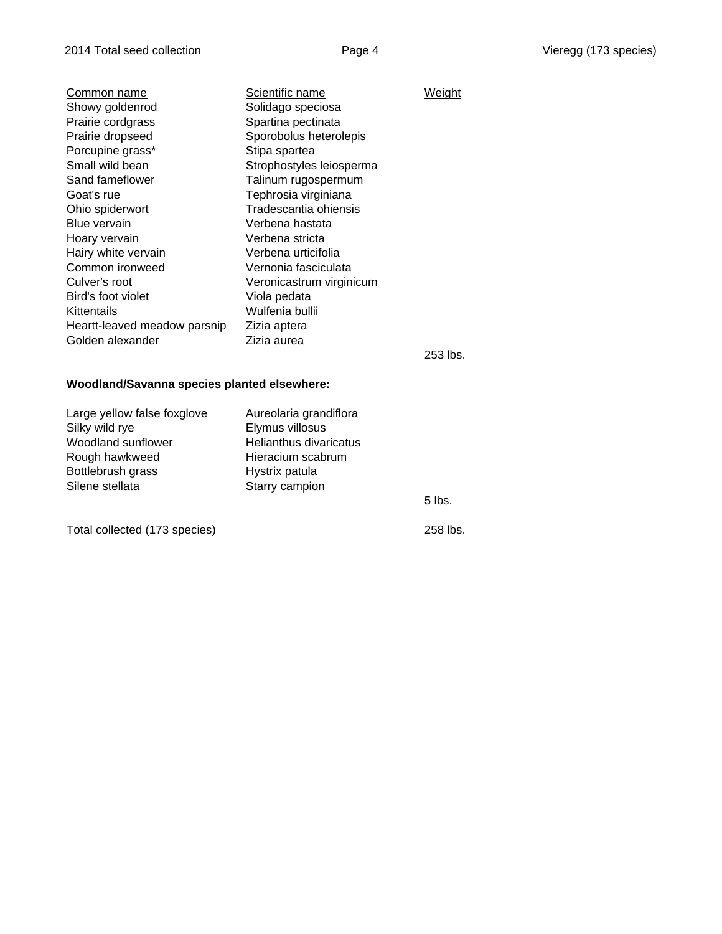| Common name                  | Scientific name          | Weight     |
|------------------------------|--------------------------|------------|
| Showy goldenrod              | Solidago speciosa        |            |
| Prairie cordgrass            | Spartina pectinata       |            |
| Prairie dropseed             | Sporobolus heterolepis   |            |
| Porcupine grass*             | Stipa spartea            |            |
| Small wild bean              | Strophostyles leiosperma |            |
| Sand fameflower              | Talinum rugospermum      |            |
| Goat's rue                   | Tephrosia virginiana     |            |
| Ohio spiderwort              | Tradescantia ohiensis    |            |
| Blue vervain                 | Verbena hastata          |            |
| Hoary vervain                | Verbena stricta          |            |
| Hairy white vervain          | Verbena urticifolia      |            |
| Common ironweed              | Vernonia fasciculata     |            |
| Culver's root                | Veronicastrum virginicum |            |
| Bird's foot violet           | Viola pedata             |            |
| Kittentails                  | Wulfenia bullii          |            |
| Heartt-leaved meadow parsnip | Zizia aptera             |            |
| Golden alexander             | Zizia aurea              |            |
|                              |                          | $0.50$ lha |

253 lbs.

## **Woodland/Savanna species planted elsewhere:**

| Large yellow false foxglove | Aureolaria grandiflora |        |
|-----------------------------|------------------------|--------|
| Silky wild rye              | Elymus villosus        |        |
| Woodland sunflower          | Helianthus divaricatus |        |
| Rough hawkweed              | Hieracium scabrum      |        |
| Bottlebrush grass           | Hystrix patula         |        |
| Silene stellata             | Starry campion         |        |
|                             |                        | 5 lbs. |

Total collected (173 species) 258 lbs.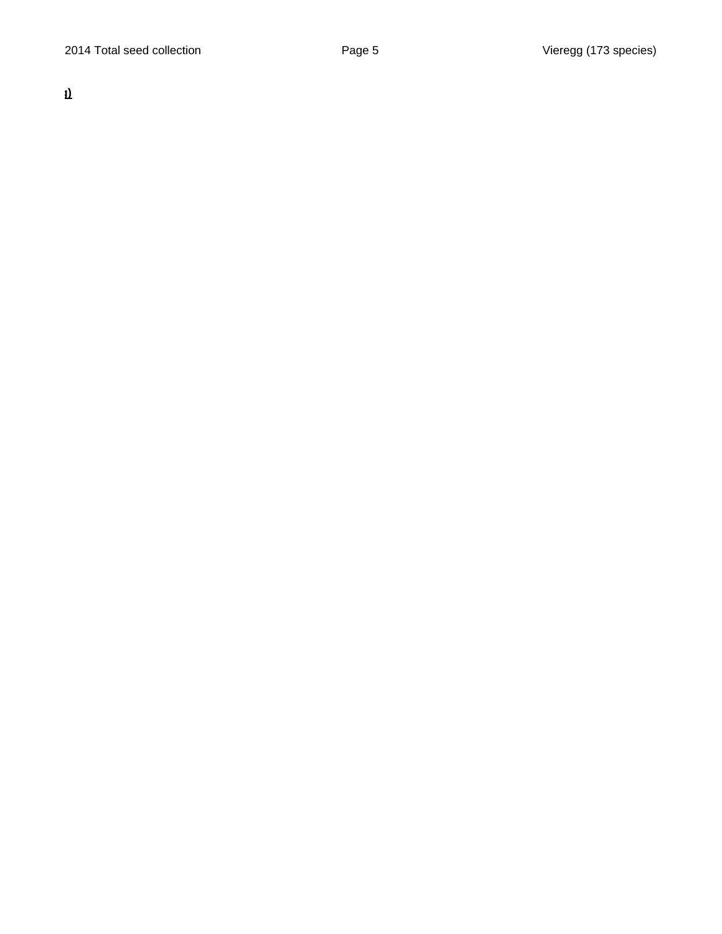**g)**